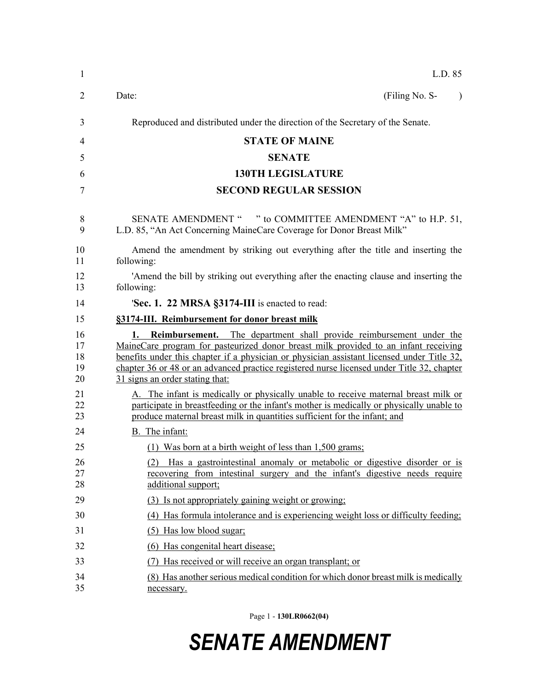| $\mathbf{1}$               | L.D. 85                                                                                                                                                                                                                                                                                                                                                                                         |  |  |  |
|----------------------------|-------------------------------------------------------------------------------------------------------------------------------------------------------------------------------------------------------------------------------------------------------------------------------------------------------------------------------------------------------------------------------------------------|--|--|--|
| $\overline{2}$             | (Filing No. S-<br>Date:<br>$\lambda$                                                                                                                                                                                                                                                                                                                                                            |  |  |  |
| 3                          | Reproduced and distributed under the direction of the Secretary of the Senate.                                                                                                                                                                                                                                                                                                                  |  |  |  |
| 4                          | <b>STATE OF MAINE</b>                                                                                                                                                                                                                                                                                                                                                                           |  |  |  |
| 5                          | <b>SENATE</b>                                                                                                                                                                                                                                                                                                                                                                                   |  |  |  |
| 6                          | <b>130TH LEGISLATURE</b>                                                                                                                                                                                                                                                                                                                                                                        |  |  |  |
| 7                          | <b>SECOND REGULAR SESSION</b>                                                                                                                                                                                                                                                                                                                                                                   |  |  |  |
| 8<br>9                     | SENATE AMENDMENT " " to COMMITTEE AMENDMENT "A" to H.P. 51,<br>L.D. 85, "An Act Concerning MaineCare Coverage for Donor Breast Milk"                                                                                                                                                                                                                                                            |  |  |  |
| 10<br>11                   | Amend the amendment by striking out everything after the title and inserting the<br>following:                                                                                                                                                                                                                                                                                                  |  |  |  |
| 12<br>13                   | 'Amend the bill by striking out everything after the enacting clause and inserting the<br>following:                                                                                                                                                                                                                                                                                            |  |  |  |
| 14                         | 'Sec. 1. 22 MRSA §3174-III is enacted to read:                                                                                                                                                                                                                                                                                                                                                  |  |  |  |
| 15                         | §3174-III. Reimbursement for donor breast milk                                                                                                                                                                                                                                                                                                                                                  |  |  |  |
| 16<br>17<br>18<br>19<br>20 | Reimbursement. The department shall provide reimbursement under the<br>1.<br>MaineCare program for pasteurized donor breast milk provided to an infant receiving<br>benefits under this chapter if a physician or physician assistant licensed under Title 32,<br>chapter 36 or 48 or an advanced practice registered nurse licensed under Title 32, chapter<br>31 signs an order stating that: |  |  |  |
| 21<br>22<br>23             | A. The infant is medically or physically unable to receive maternal breast milk or<br>participate in breastfeeding or the infant's mother is medically or physically unable to<br>produce maternal breast milk in quantities sufficient for the infant; and                                                                                                                                     |  |  |  |
| 24                         | B. The infant:                                                                                                                                                                                                                                                                                                                                                                                  |  |  |  |
| 25                         | (1) Was born at a birth weight of less than 1,500 grams;                                                                                                                                                                                                                                                                                                                                        |  |  |  |
| 26<br>27<br>28             | (2) Has a gastrointestinal anomaly or metabolic or digestive disorder or is<br>recovering from intestinal surgery and the infant's digestive needs require<br>additional support;                                                                                                                                                                                                               |  |  |  |
| 29                         | (3) Is not appropriately gaining weight or growing:                                                                                                                                                                                                                                                                                                                                             |  |  |  |
| 30                         | (4) Has formula intolerance and is experiencing weight loss or difficulty feeding;                                                                                                                                                                                                                                                                                                              |  |  |  |
| 31                         | (5) Has low blood sugar;                                                                                                                                                                                                                                                                                                                                                                        |  |  |  |
| 32                         | (6) Has congenital heart disease;                                                                                                                                                                                                                                                                                                                                                               |  |  |  |
| 33                         | Has received or will receive an organ transplant; or<br>(7)                                                                                                                                                                                                                                                                                                                                     |  |  |  |
| 34<br>35                   | (8) Has another serious medical condition for which donor breast milk is medically<br>necessary.                                                                                                                                                                                                                                                                                                |  |  |  |
|                            |                                                                                                                                                                                                                                                                                                                                                                                                 |  |  |  |

Page 1 - **130LR0662(04)**

## *SENATE AMENDMENT*